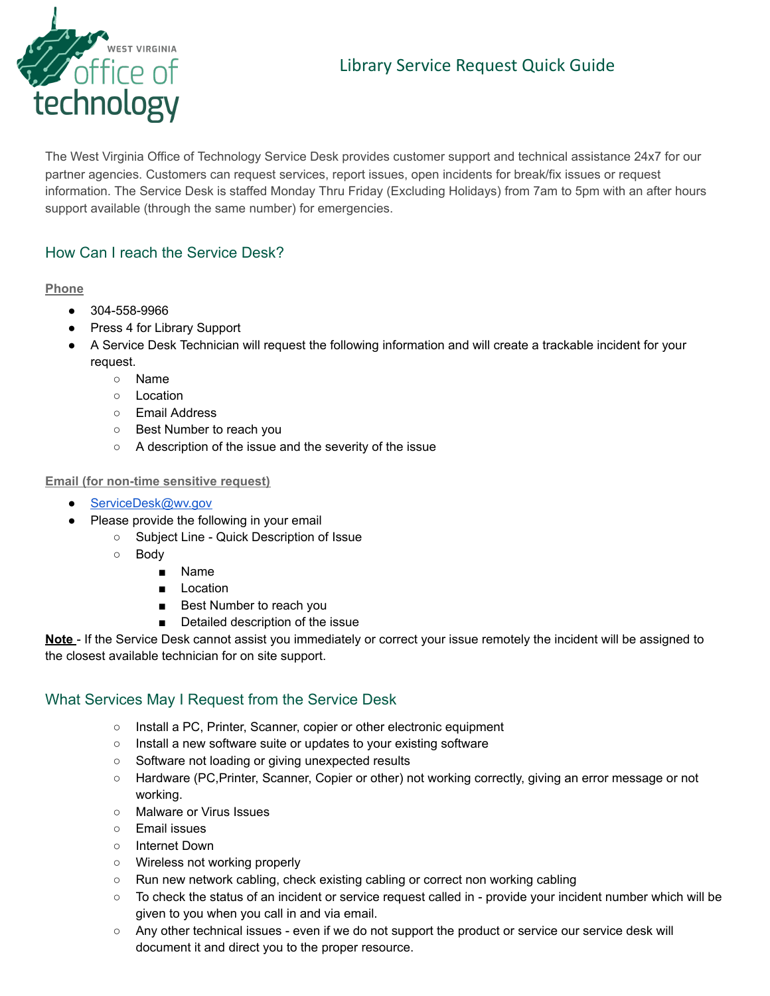# Library Service Request Quick Guide



The West Virginia Office of Technology Service Desk provides customer support and technical assistance 24x7 for our partner agencies. Customers can request services, report issues, open incidents for break/fix issues or request information. The Service Desk is staffed Monday Thru Friday (Excluding Holidays) from 7am to 5pm with an after hours support available (through the same number) for emergencies.

### How Can I reach the Service Desk?

#### **Phone**

- 304-558-9966
- Press 4 for Library Support
- A Service Desk Technician will request the following information and will create a trackable incident for your request.
	- Name
	- Location
	- Email Address
	- Best Number to reach you
	- A description of the issue and the severity of the issue

#### **Email (for non-time sensitive request)**

- [ServiceDesk@wv.gov](mailto:ServiceDesk@wv.gov)
- Please provide the following in your email
	- Subject Line Quick Description of Issue
	- Body
		- Name
		- Location
		- Best Number to reach you
		- Detailed description of the issue

**Note** - If the Service Desk cannot assist you immediately or correct your issue remotely the incident will be assigned to the closest available technician for on site support.

### What Services May I Request from the Service Desk

- Install a PC, Printer, Scanner, copier or other electronic equipment
- Install a new software suite or updates to your existing software
- Software not loading or giving unexpected results
- Hardware (PC,Printer, Scanner, Copier or other) not working correctly, giving an error message or not working.
- Malware or Virus Issues
- Email issues
- Internet Down
- Wireless not working properly
- Run new network cabling, check existing cabling or correct non working cabling
- To check the status of an incident or service request called in provide your incident number which will be given to you when you call in and via email.
- Any other technical issues even if we do not support the product or service our service desk will document it and direct you to the proper resource.